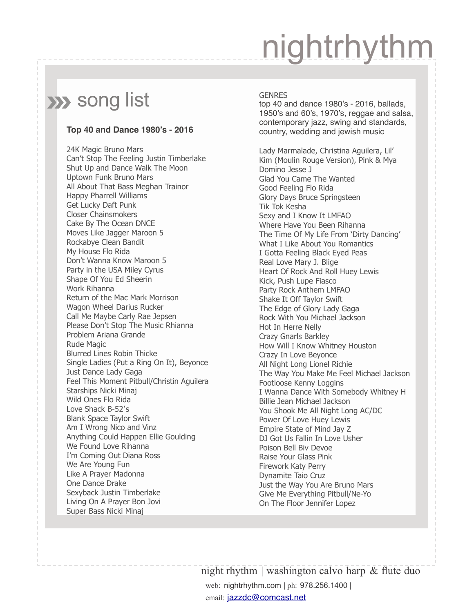### **XX** song list

#### **Top 40 and Dance 1980's - 2016**

24K Magic Bruno Mars Can't Stop The Feeling Justin Timberlake Shut Up and Dance Walk The Moon Uptown Funk Bruno Mars All About That Bass Meghan Trainor Happy Pharrell Williams Get Lucky Daft Punk Closer Chainsmokers Cake By The Ocean DNCE Moves Like Jagger Maroon 5 Rockabye Clean Bandit My House Flo Rida Don't Wanna Know Maroon 5 Party in the USA Miley Cyrus Shape Of You Ed Sheerin Work Rihanna Return of the Mac Mark Morrison Wagon Wheel Darius Rucker Call Me Maybe Carly Rae Jepsen Please Don't Stop The Music Rhianna Problem Ariana Grande Rude Magic Blurred Lines Robin Thicke Single Ladies (Put a Ring On It), Beyonce Just Dance Lady Gaga Feel This Moment Pitbull/Christin Aguilera Starships Nicki Minaj Wild Ones Flo Rida Love Shack B-52′s Blank Space Taylor Swift Am I Wrong Nico and Vinz Anything Could Happen Ellie Goulding We Found Love Rihanna I'm Coming Out Diana Ross We Are Young Fun Like A Prayer Madonna One Dance Drake Sexyback Justin Timberlake Living On A Prayer Bon Jovi Super Bass Nicki Minaj

#### **GENRES**

top 40 and dance 1980's - 2016, ballads, 1950's and 60's, 1970's, reggae and salsa, contemporary jazz, swing and standards, country, wedding and jewish music

Lady Marmalade, Christina Aguilera, Lil' Kim (Moulin Rouge Version), Pink & Mya Domino Jesse J Glad You Came The Wanted Good Feeling Flo Rida Glory Days Bruce Springsteen Tik Tok Kesha Sexy and I Know It LMFAO Where Have You Been Rihanna The Time Of My Life From 'Dirty Dancing' What I Like About You Romantics I Gotta Feeling Black Eyed Peas Real Love Mary J. Blige Heart Of Rock And Roll Huey Lewis Kick, Push Lupe Fiasco Party Rock Anthem LMFAO Shake It Off Taylor Swift The Edge of Glory Lady Gaga Rock With You Michael Jackson Hot In Herre Nelly Crazy Gnarls Barkley How Will I Know Whitney Houston Crazy In Love Beyonce All Night Long Lionel Richie The Way You Make Me Feel Michael Jackson Footloose Kenny Loggins I Wanna Dance With Somebody Whitney H Billie Jean Michael Jackson You Shook Me All Night Long AC/DC Power Of Love Huey Lewis Empire State of Mind Jay Z DJ Got Us Fallin In Love Usher Poison Bell Biv Devoe Raise Your Glass Pink Firework Katy Perry Dynamite Taio Cruz Just the Way You Are Bruno Mars Give Me Everything Pitbull/Ne-Yo On The Floor Jennifer Lopez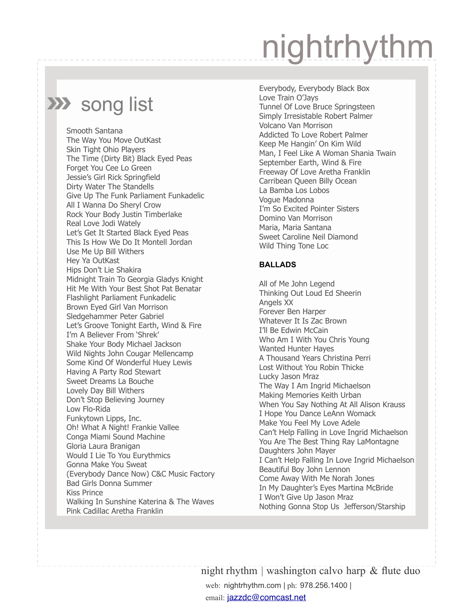### **XX** song list

Smooth Santana The Way You Move OutKast Skin Tight Ohio Players The Time (Dirty Bit) Black Eyed Peas Forget You Cee Lo Green Jessie's Girl Rick Springfield Dirty Water The Standells Give Up The Funk Parliament Funkadelic All I Wanna Do Sheryl Crow Rock Your Body Justin Timberlake Real Love Jodi Wately Let's Get It Started Black Eyed Peas This Is How We Do It Montell Jordan Use Me Up Bill Withers Hey Ya OutKast Hips Don't Lie Shakira Midnight Train To Georgia Gladys Knight Hit Me With Your Best Shot Pat Benatar Flashlight Parliament Funkadelic Brown Eyed Girl Van Morrison Sledgehammer Peter Gabriel Let's Groove Tonight Earth, Wind & Fire I'm A Believer From 'Shrek' Shake Your Body Michael Jackson Wild Nights John Cougar Mellencamp Some Kind Of Wonderful Huey Lewis Having A Party Rod Stewart Sweet Dreams La Bouche Lovely Day Bill Withers Don't Stop Believing Journey Low Flo-Rida Funkytown Lipps, Inc. Oh! What A Night! Frankie Vallee Conga Miami Sound Machine Gloria Laura Branigan Would I Lie To You Eurythmics Gonna Make You Sweat (Everybody Dance Now) C&C Music Factory Bad Girls Donna Summer Kiss Prince Walking In Sunshine Katerina & The Waves Pink Cadillac Aretha Franklin

Everybody, Everybody Black Box Love Train O'Jays Tunnel Of Love Bruce Springsteen Simply Irresistable Robert Palmer Volcano Van Morrison Addicted To Love Robert Palmer Keep Me Hangin' On Kim Wild Man, I Feel Like A Woman Shania Twain September Earth, Wind & Fire Freeway Of Love Aretha Franklin Carribean Queen Billy Ocean La Bamba Los Lobos Vogue Madonna I'm So Excited Pointer Sisters Domino Van Morrison Maria, Maria Santana Sweet Caroline Neil Diamond Wild Thing Tone Loc

#### **BALLADS**

All of Me John Legend Thinking Out Loud Ed Sheerin Angels XX Forever Ben Harper Whatever It Is Zac Brown I'll Be Edwin McCain Who Am I With You Chris Young Wanted Hunter Hayes A Thousand Years Christina Perri Lost Without You Robin Thicke Lucky Jason Mraz The Way I Am Ingrid Michaelson Making Memories Keith Urban When You Say Nothing At All Alison Krauss I Hope You Dance LeAnn Womack Make You Feel My Love Adele Can't Help Falling in Love Ingrid Michaelson You Are The Best Thing Ray LaMontagne Daughters John Mayer I Can't Help Falling In Love Ingrid Michaelson Beautiful Boy John Lennon Come Away With Me Norah Jones In My Daughter's Eyes Martina McBride I Won't Give Up Jason Mraz Nothing Gonna Stop Us Jefferson/Starship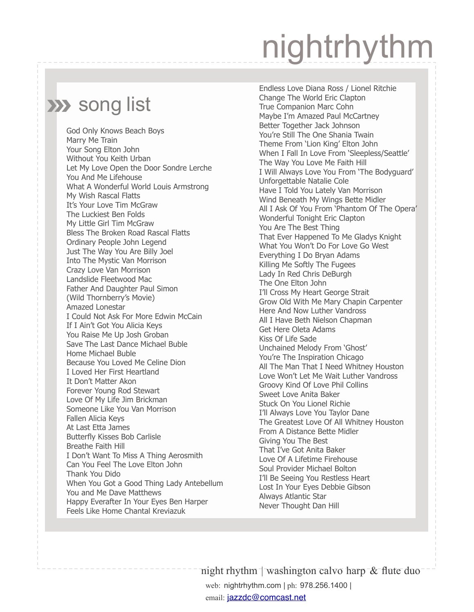### **XX** song list

God Only Knows Beach Boys Marry Me Train Your Song Elton John Without You Keith Urban Let My Love Open the Door Sondre Lerche You And Me Lifehouse What A Wonderful World Louis Armstrong My Wish Rascal Flatts It's Your Love Tim McGraw The Luckiest Ben Folds My Little Girl Tim McGraw Bless The Broken Road Rascal Flatts Ordinary People John Legend Just The Way You Are Billy Joel Into The Mystic Van Morrison Crazy Love Van Morrison Landslide Fleetwood Mac Father And Daughter Paul Simon (Wild Thornberry's Movie) Amazed Lonestar I Could Not Ask For More Edwin McCain If I Ain't Got You Alicia Keys You Raise Me Up Josh Groban Save The Last Dance Michael Buble Home Michael Buble Because You Loved Me Celine Dion I Loved Her First Heartland It Don't Matter Akon Forever Young Rod Stewart Love Of My Life Jim Brickman Someone Like You Van Morrison Fallen Alicia Keys At Last Etta James Butterfly Kisses Bob Carlisle Breathe Faith Hill I Don't Want To Miss A Thing Aerosmith Can You Feel The Love Elton John Thank You Dido When You Got a Good Thing Lady Antebellum You and Me Dave Matthews Happy Everafter In Your Eyes Ben Harper Feels Like Home Chantal Kreviazuk

Endless Love Diana Ross / Lionel Ritchie Change The World Eric Clapton True Companion Marc Cohn Maybe I'm Amazed Paul McCartney Better Together Jack Johnson You're Still The One Shania Twain Theme From 'Lion King' Elton John When I Fall In Love From 'Sleepless/Seattle' The Way You Love Me Faith Hill I Will Always Love You From 'The Bodyguard' Unforgettable Natalie Cole Have I Told You Lately Van Morrison Wind Beneath My Wings Bette Midler All I Ask Of You From 'Phantom Of The Opera' Wonderful Tonight Eric Clapton You Are The Best Thing That Ever Happened To Me Gladys Knight What You Won't Do For Love Go West Everything I Do Bryan Adams Killing Me Softly The Fugees Lady In Red Chris DeBurgh The One Elton John I'll Cross My Heart George Strait Grow Old With Me Mary Chapin Carpenter Here And Now Luther Vandross All I Have Beth Nielson Chapman Get Here Oleta Adams Kiss Of Life Sade Unchained Melody From 'Ghost' You're The Inspiration Chicago All The Man That I Need Whitney Houston Love Won't Let Me Wait Luther Vandross Groovy Kind Of Love Phil Collins Sweet Love Anita Baker Stuck On You Lionel Richie I'll Always Love You Taylor Dane The Greatest Love Of All Whitney Houston From A Distance Bette Midler Giving You The Best That I've Got Anita Baker Love Of A Lifetime Firehouse Soul Provider Michael Bolton I'll Be Seeing You Restless Heart Lost In Your Eyes Debbie Gibson Always Atlantic Star Never Thought Dan Hill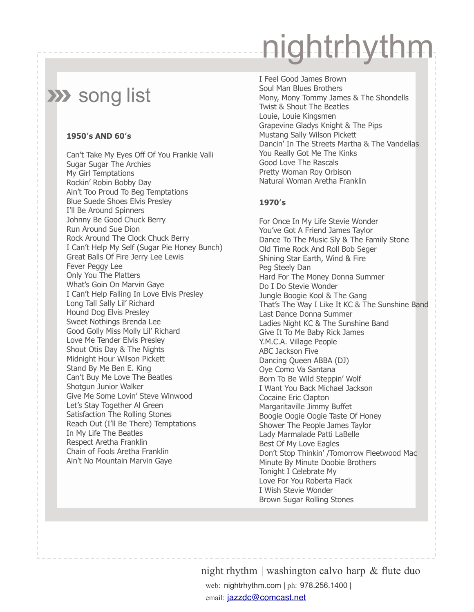### **XX** song list

#### **1950′s AND 60′s**

Can't Take My Eyes Off Of You Frankie Valli Sugar Sugar The Archies My Girl Temptations Rockin' Robin Bobby Day Ain't Too Proud To Beg Temptations Blue Suede Shoes Elvis Presley I'll Be Around Spinners Johnny Be Good Chuck Berry Run Around Sue Dion Rock Around The Clock Chuck Berry I Can't Help My Self (Sugar Pie Honey Bunch) Great Balls Of Fire Jerry Lee Lewis Fever Peggy Lee Only You The Platters What's Goin On Marvin Gaye I Can't Help Falling In Love Elvis Presley Long Tall Sally Lil' Richard Hound Dog Elvis Presley Sweet Nothings Brenda Lee Good Golly Miss Molly Lil' Richard Love Me Tender Elvis Presley Shout Otis Day & The Nights Midnight Hour Wilson Pickett Stand By Me Ben E. King Can't Buy Me Love The Beatles Shotgun Junior Walker Give Me Some Lovin' Steve Winwood Let's Stay Together Al Green Satisfaction The Rolling Stones Reach Out (I'll Be There) Temptations In My Life The Beatles Respect Aretha Franklin Chain of Fools Aretha Franklin Ain't No Mountain Marvin Gaye

I Feel Good James Brown Soul Man Blues Brothers Mony, Mony Tommy James & The Shondells Twist & Shout The Beatles Louie, Louie Kingsmen Grapevine Gladys Knight & The Pips Mustang Sally Wilson Pickett Dancin' In The Streets Martha & The Vandellas You Really Got Me The Kinks Good Love The Rascals Pretty Woman Roy Orbison Natural Woman Aretha Franklin

#### **1970′s**

For Once In My Life Stevie Wonder You've Got A Friend James Taylor Dance To The Music Sly & The Family Stone Old Time Rock And Roll Bob Seger Shining Star Earth, Wind & Fire Peg Steely Dan Hard For The Money Donna Summer Do I Do Stevie Wonder Jungle Boogie Kool & The Gang That's The Way I Like It KC & The Sunshine Band Last Dance Donna Summer Ladies Night KC & The Sunshine Band Give It To Me Baby Rick James Y.M.C.A. Village People ABC Jackson Five Dancing Queen ABBA (DJ) Oye Como Va Santana Born To Be Wild Steppin' Wolf I Want You Back Michael Jackson Cocaine Eric Clapton Margaritaville Jimmy Buffet Boogie Oogie Oogie Taste Of Honey Shower The People James Taylor Lady Marmalade Patti LaBelle Best Of My Love Eagles Don't Stop Thinkin' /Tomorrow Fleetwood Mac Minute By Minute Doobie Brothers Tonight I Celebrate My Love For You Roberta Flack I Wish Stevie Wonder Brown Sugar Rolling Stones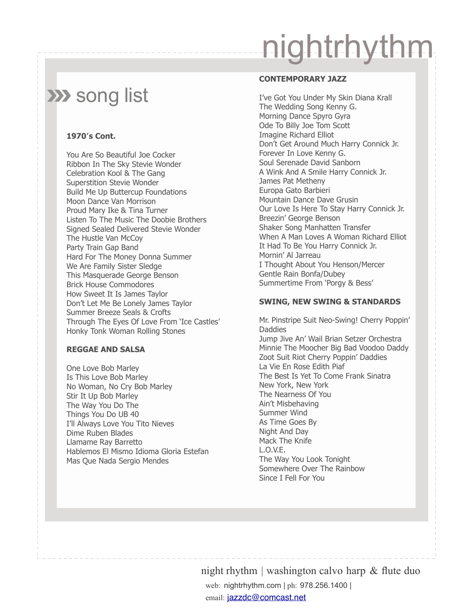### **XX** song list

#### **1970′s Cont.**

You Are So Beautiful Joe Cocker Ribbon In The Sky Stevie Wonder Celebration Kool & The Gang Superstition Stevie Wonder Build Me Up Buttercup Foundations Moon Dance Van Morrison Proud Mary Ike & Tina Turner Listen To The Music The Doobie Brothers Signed Sealed Delivered Stevie Wonder The Hustle Van McCoy Party Train Gap Band Hard For The Money Donna Summer We Are Family Sister Sledge This Masquerade George Benson Brick House Commodores How Sweet It Is James Taylor Don't Let Me Be Lonely James Taylor Summer Breeze Seals & Crofts Through The Eyes Of Love From 'Ice Castles' Honky Tonk Woman Rolling Stones

#### **REGGAE AND SALSA**

One Love Bob Marley Is This Love Bob Marley No Woman, No Cry Bob Marley Stir It Up Bob Marley The Way You Do The Things You Do UB 40 I'll Always Love You Tito Nieves Dime Ruben Blades Llamame Ray Barretto Hablemos El Mismo Idioma Gloria Estefan Mas Que Nada Sergio Mendes

#### **CONTEMPORARY JAZZ**

I've Got You Under My Skin Diana Krall The Wedding Song Kenny G. Morning Dance Spyro Gyra Ode To Billy Joe Tom Scott Imagine Richard Elliot Don't Get Around Much Harry Connick Jr. Forever In Love Kenny G. Soul Serenade David Sanborn A Wink And A Smile Harry Connick Jr. James Pat Metheny Europa Gato Barbieri Mountain Dance Dave Grusin Our Love Is Here To Stay Harry Connick Jr. Breezin' George Benson Shaker Song Manhatten Transfer When A Man Loves A Woman Richard Elliot It Had To Be You Harry Connick Jr. Mornin' Al Jarreau I Thought About You Henson/Mercer Gentle Rain Bonfa/Dubey Summertime From 'Porgy & Bess'

#### **SWING, NEW SWING & STANDARDS**

Mr. Pinstripe Suit Neo-Swing! Cherry Poppin' Daddies Jump Jive An' Wail Brian Setzer Orchestra Minnie The Moocher Big Bad Voodoo Daddy Zoot Suit Riot Cherry Poppin' Daddies La Vie En Rose Edith Piaf The Best Is Yet To Come Frank Sinatra New York, New York The Nearness Of You Ain't Misbehaving Summer Wind As Time Goes By Night And Day Mack The Knife L.O.V.E. The Way You Look Tonight Somewhere Over The Rainbow Since I Fell For You